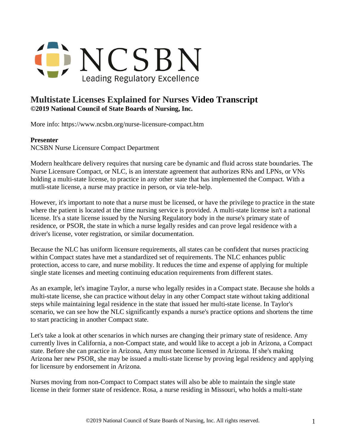

## **Multistate Licenses Explained for Nurses Video Transcript ©2019 National Council of State Boards of Nursing, Inc.**

More info: https://www.ncsbn.org/nurse-licensure-compact.htm

## **Presenter**

NCSBN Nurse Licensure Compact Department

Modern healthcare delivery requires that nursing care be dynamic and fluid across state boundaries. The Nurse Licensure Compact, or NLC, is an interstate agreement that authorizes RNs and LPNs, or VNs holding a multi-state license, to practice in any other state that has implemented the Compact. With a mutli-state license, a nurse may practice in person, or via tele-help.

However, it's important to note that a nurse must be licensed, or have the privilege to practice in the state where the patient is located at the time nursing service is provided. A multi-state license isn't a national license. It's a state license issued by the Nursing Regulatory body in the nurse's primary state of residence, or PSOR, the state in which a nurse legally resides and can prove legal residence with a driver's license, voter registration, or similar documentation.

Because the NLC has uniform licensure requirements, all states can be confident that nurses practicing within Compact states have met a standardized set of requirements. The NLC enhances public protection, access to care, and nurse mobility. It reduces the time and expense of applying for multiple single state licenses and meeting continuing education requirements from different states.

As an example, let's imagine Taylor, a nurse who legally resides in a Compact state. Because she holds a multi-state license, she can practice without delay in any other Compact state without taking additional steps while maintaining legal residence in the state that issued her multi-state license. In Taylor's scenario, we can see how the NLC significantly expands a nurse's practice options and shortens the time to start practicing in another Compact state.

Let's take a look at other scenarios in which nurses are changing their primary state of residence. Amy currently lives in California, a non-Compact state, and would like to accept a job in Arizona, a Compact state. Before she can practice in Arizona, Amy must become licensed in Arizona. If she's making Arizona her new PSOR, she may be issued a multi-state license by proving legal residency and applying for licensure by endorsement in Arizona.

Nurses moving from non-Compact to Compact states will also be able to maintain the single state license in their former state of residence. Rosa, a nurse residing in Missouri, who holds a multi-state